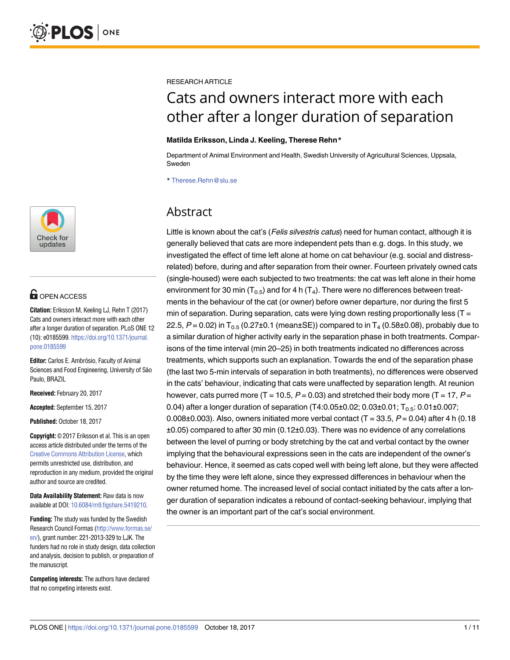

# **OPEN ACCESS**

**Citation:** Eriksson M, Keeling LJ, Rehn T (2017) Cats and owners interact more with each other after a longer duration of separation. PLoS ONE 12 (10): e0185599. [https://doi.org/10.1371/journal.](https://doi.org/10.1371/journal.pone.0185599) [pone.0185599](https://doi.org/10.1371/journal.pone.0185599)

**Editor:** Carlos E. Ambrósio, Faculty of Animal Sciences and Food Engineering, University of São Paulo, BRAZIL

**Received:** February 20, 2017

**Accepted:** September 15, 2017

**Published:** October 18, 2017

**Copyright:** © 2017 Eriksson et al. This is an open access article distributed under the terms of the Creative Commons [Attribution](http://creativecommons.org/licenses/by/4.0/) License, which permits unrestricted use, distribution, and reproduction in any medium, provided the original author and source are credited.

**Data Availability Statement:** Raw data is now available at DOI: [10.6084/m9.figshare.5419210](https://doi.org/10.6084/m9.figshare.5419210).

**Funding:** The study was funded by the Swedish Research Council Formas [\(http://www.formas.se/](http://www.formas.se/en/) [en/](http://www.formas.se/en/)), grant number: 221-2013-329 to LJK. The funders had no role in study design, data collection and analysis, decision to publish, or preparation of the manuscript.

**Competing interests:** The authors have declared that no competing interests exist.

RESEARCH ARTICLE

# Cats and owners interact more with each other after a longer duration of separation

### **Matilda Eriksson, Linda J. Keeling, Therese Rehn\***

Department of Animal Environment and Health, Swedish University of Agricultural Sciences, Uppsala, Sweden

\* Therese.Rehn@slu.se

# Abstract

Little is known about the cat's (Felis silvestris catus) need for human contact, although it is generally believed that cats are more independent pets than e.g. dogs. In this study, we investigated the effect of time left alone at home on cat behaviour (e.g. social and distressrelated) before, during and after separation from their owner. Fourteen privately owned cats (single-housed) were each subjected to two treatments: the cat was left alone in their home environment for 30 min ( $T_{0.5}$ ) and for 4 h ( $T_4$ ). There were no differences between treatments in the behaviour of the cat (or owner) before owner departure, nor during the first 5 min of separation. During separation, cats were lying down resting proportionally less ( $T =$ 22.5,  $P = 0.02$ ) in T<sub>0.5</sub> (0.27±0.1 (mean±SE)) compared to in T<sub>4</sub> (0.58±0.08), probably due to a similar duration of higher activity early in the separation phase in both treatments. Comparisons of the time interval (min 20–25) in both treatments indicated no differences across treatments, which supports such an explanation. Towards the end of the separation phase (the last two 5-min intervals of separation in both treatments), no differences were observed in the cats' behaviour, indicating that cats were unaffected by separation length. At reunion however, cats purred more (T = 10.5,  $P = 0.03$ ) and stretched their body more (T = 17,  $P =$ 0.04) after a longer duration of separation  $(T4:0.05\pm0.02; 0.03\pm0.01; T_{0.5}: 0.01\pm0.007;$ 0.008 $\pm$ 0.003). Also, owners initiated more verbal contact (T = 33.5, P = 0.04) after 4 h (0.18 ±0.05) compared to after 30 min (0.12±0.03). There was no evidence of any correlations between the level of purring or body stretching by the cat and verbal contact by the owner implying that the behavioural expressions seen in the cats are independent of the owner's behaviour. Hence, it seemed as cats coped well with being left alone, but they were affected by the time they were left alone, since they expressed differences in behaviour when the owner returned home. The increased level of social contact initiated by the cats after a longer duration of separation indicates a rebound of contact-seeking behaviour, implying that the owner is an important part of the cat's social environment.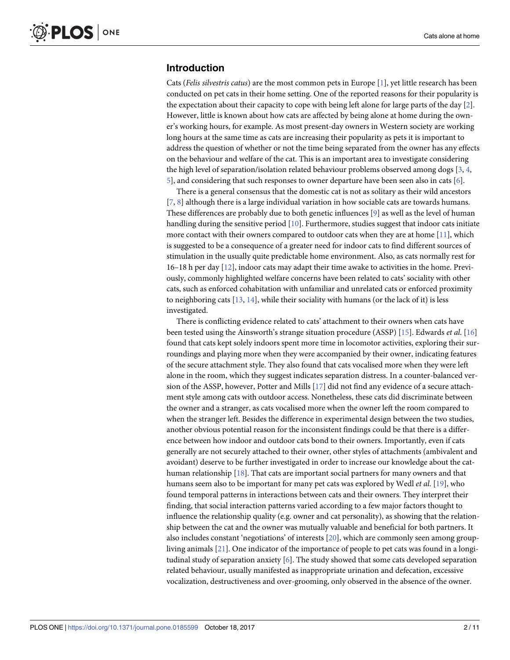# <span id="page-1-0"></span>**Introduction**

Cats (*Felis silvestris catus*) are the most common pets in Europe [\[1\]](#page-8-0), yet little research has been conducted on pet cats in their home setting. One of the reported reasons for their popularity is the expectation about their capacity to cope with being left alone for large parts of the day [[2\]](#page-8-0). However, little is known about how cats are affected by being alone at home during the owner's working hours, for example. As most present-day owners in Western society are working long hours at the same time as cats are increasing their popularity as pets it is important to address the question of whether or not the time being separated from the owner has any effects on the behaviour and welfare of the cat. This is an important area to investigate considering the high level of separation/isolation related behaviour problems observed among dogs [\[3,](#page-8-0) [4](#page-8-0), [5\]](#page-8-0), and considering that such responses to owner departure have been seen also in cats [[6\]](#page-8-0).

There is a general consensus that the domestic cat is not as solitary as their wild ancestors [\[7](#page-8-0), [8](#page-8-0)] although there is a large individual variation in how sociable cats are towards humans. These differences are probably due to both genetic influences [\[9\]](#page-8-0) as well as the level of human handling during the sensitive period  $[10]$ . Furthermore, studies suggest that indoor cats initiate more contact with their owners compared to outdoor cats when they are at home [[11](#page-8-0)], which is suggested to be a consequence of a greater need for indoor cats to find different sources of stimulation in the usually quite predictable home environment. Also, as cats normally rest for 16–18 h per day [[12](#page-8-0)], indoor cats may adapt their time awake to activities in the home. Previously, commonly highlighted welfare concerns have been related to cats' sociality with other cats, such as enforced cohabitation with unfamiliar and unrelated cats or enforced proximity to neighboring cats  $[13, 14]$  $[13, 14]$  $[13, 14]$ , while their sociality with humans (or the lack of it) is less investigated.

There is conflicting evidence related to cats' attachment to their owners when cats have been tested using the Ainsworth's strange situation procedure (ASSP) [[15](#page-8-0)]. Edwards *et al*. [\[16\]](#page-8-0) found that cats kept solely indoors spent more time in locomotor activities, exploring their surroundings and playing more when they were accompanied by their owner, indicating features of the secure attachment style. They also found that cats vocalised more when they were left alone in the room, which they suggest indicates separation distress. In a counter-balanced version of the ASSP, however, Potter and Mills [\[17\]](#page-8-0) did not find any evidence of a secure attachment style among cats with outdoor access. Nonetheless, these cats did discriminate between the owner and a stranger, as cats vocalised more when the owner left the room compared to when the stranger left. Besides the difference in experimental design between the two studies, another obvious potential reason for the inconsistent findings could be that there is a difference between how indoor and outdoor cats bond to their owners. Importantly, even if cats generally are not securely attached to their owner, other styles of attachments (ambivalent and avoidant) deserve to be further investigated in order to increase our knowledge about the cathuman relationship [\[18\]](#page-8-0). That cats are important social partners for many owners and that humans seem also to be important for many pet cats was explored by Wedl *et al*. [[19](#page-9-0)], who found temporal patterns in interactions between cats and their owners. They interpret their finding, that social interaction patterns varied according to a few major factors thought to influence the relationship quality (e.g. owner and cat personality), as showing that the relationship between the cat and the owner was mutually valuable and beneficial for both partners. It also includes constant 'negotiations' of interests [[20](#page-9-0)], which are commonly seen among groupliving animals [\[21\]](#page-9-0). One indicator of the importance of people to pet cats was found in a longitudinal study of separation anxiety [\[6\]](#page-8-0). The study showed that some cats developed separation related behaviour, usually manifested as inappropriate urination and defecation, excessive vocalization, destructiveness and over-grooming, only observed in the absence of the owner.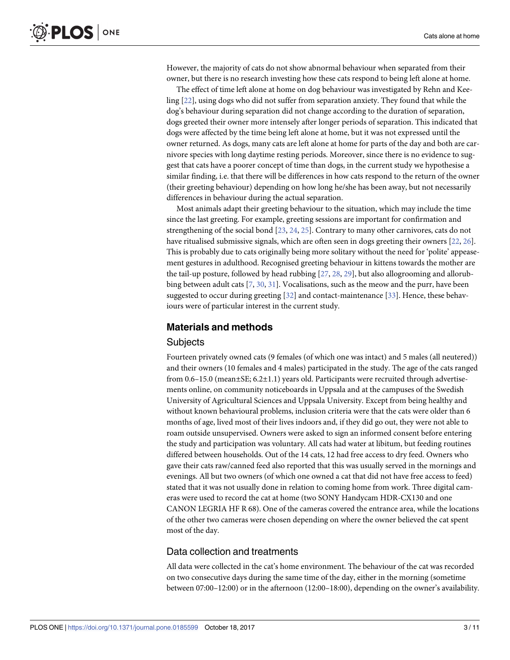<span id="page-2-0"></span>However, the majority of cats do not show abnormal behaviour when separated from their owner, but there is no research investing how these cats respond to being left alone at home.

The effect of time left alone at home on dog behaviour was investigated by Rehn and Keeling [[22](#page-9-0)], using dogs who did not suffer from separation anxiety. They found that while the dog's behaviour during separation did not change according to the duration of separation, dogs greeted their owner more intensely after longer periods of separation. This indicated that dogs were affected by the time being left alone at home, but it was not expressed until the owner returned. As dogs, many cats are left alone at home for parts of the day and both are carnivore species with long daytime resting periods. Moreover, since there is no evidence to suggest that cats have a poorer concept of time than dogs, in the current study we hypothesise a similar finding, i.e. that there will be differences in how cats respond to the return of the owner (their greeting behaviour) depending on how long he/she has been away, but not necessarily differences in behaviour during the actual separation.

Most animals adapt their greeting behaviour to the situation, which may include the time since the last greeting. For example, greeting sessions are important for confirmation and strengthening of the social bond [[23](#page-9-0), [24](#page-9-0), [25](#page-9-0)]. Contrary to many other carnivores, cats do not have ritualised submissive signals, which are often seen in dogs greeting their owners [\[22,](#page-9-0) [26\]](#page-9-0). This is probably due to cats originally being more solitary without the need for 'polite' appeasement gestures in adulthood. Recognised greeting behaviour in kittens towards the mother are the tail-up posture, followed by head rubbing [\[27,](#page-9-0) [28](#page-9-0), [29](#page-9-0)], but also allogrooming and allorub-bing between adult cats [[7](#page-8-0), [30](#page-9-0), [31](#page-9-0)]. Vocalisations, such as the meow and the purr, have been suggested to occur during greeting [\[32\]](#page-9-0) and contact-maintenance [[33](#page-9-0)]. Hence, these behaviours were of particular interest in the current study.

## **Materials and methods**

#### **Subjects**

Fourteen privately owned cats (9 females (of which one was intact) and 5 males (all neutered)) and their owners (10 females and 4 males) participated in the study. The age of the cats ranged from  $0.6-15.0$  (mean $\pm$ SE;  $6.2\pm1.1$ ) years old. Participants were recruited through advertisements online, on community noticeboards in Uppsala and at the campuses of the Swedish University of Agricultural Sciences and Uppsala University. Except from being healthy and without known behavioural problems, inclusion criteria were that the cats were older than 6 months of age, lived most of their lives indoors and, if they did go out, they were not able to roam outside unsupervised. Owners were asked to sign an informed consent before entering the study and participation was voluntary. All cats had water at libitum, but feeding routines differed between households. Out of the 14 cats, 12 had free access to dry feed. Owners who gave their cats raw/canned feed also reported that this was usually served in the mornings and evenings. All but two owners (of which one owned a cat that did not have free access to feed) stated that it was not usually done in relation to coming home from work. Three digital cameras were used to record the cat at home (two SONY Handycam HDR-CX130 and one CANON LEGRIA HF R 68). One of the cameras covered the entrance area, while the locations of the other two cameras were chosen depending on where the owner believed the cat spent most of the day.

# Data collection and treatments

All data were collected in the cat's home environment. The behaviour of the cat was recorded on two consecutive days during the same time of the day, either in the morning (sometime between 07:00–12:00) or in the afternoon (12:00–18:00), depending on the owner's availability.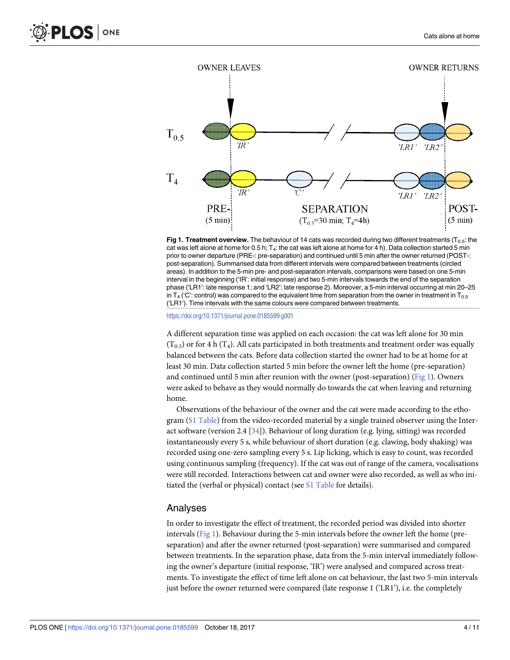<span id="page-3-0"></span>

**Fig 1. Treatment overview.** The behaviour of 14 cats was recorded during two different treatments ( $T_{0.5}$ : the cat was left alone at home for 0.5 h;  $T_4$ : the cat was left alone at home for 4 h). Data collection started 5 min prior to owner departure (PRE-: pre-separation) and continued until 5 min after the owner returned (POST-: post-separation). Summarised data from different intervals were compared between treatments (circled areas). In addition to the 5-min pre- and post-separation intervals, comparisons were based on one 5-min interval in the beginning ('IR': initial response) and two 5-min intervals towards the end of the separation phase ('LR1': late response 1; and 'LR2': late response 2). Moreover, a 5-min interval occurring at min 20–25 in  $T_4$  ('C': control) was compared to the equivalent time from separation from the owner in treatment in  $T_{0.5}$ ('LR1'). Time intervals with the same colours were compared between treatments.

<https://doi.org/10.1371/journal.pone.0185599.g001>

A different separation time was applied on each occasion: the cat was left alone for 30 min  $(T_{0.5})$  or for 4 h  $(T_4)$ . All cats participated in both treatments and treatment order was equally balanced between the cats. Before data collection started the owner had to be at home for at least 30 min. Data collection started 5 min before the owner left the home (pre-separation) and continued until 5 min after reunion with the owner (post-separation) (Fig 1). Owners were asked to behave as they would normally do towards the cat when leaving and returning home.

Observations of the behaviour of the owner and the cat were made according to the ethogram (S1 [Table](#page-7-0)) from the video-recorded material by a single trained observer using the Interact software (version 2.4 [[34](#page-9-0)]). Behaviour of long duration (e.g. lying, sitting) was recorded instantaneously every 5 s, while behaviour of short duration (e.g. clawing, body shaking) was recorded using one-zero sampling every 5 s. Lip licking, which is easy to count, was recorded using continuous sampling (frequency). If the cat was out of range of the camera, vocalisations were still recorded. Interactions between cat and owner were also recorded, as well as who initiated the (verbal or physical) contact (see S1 [Table](#page-7-0) for details).

#### Analyses

In order to investigate the effect of treatment, the recorded period was divided into shorter intervals (Fig 1). Behaviour during the 5-min intervals before the owner left the home (preseparation) and after the owner returned (post-separation) were summarised and compared between treatments. In the separation phase, data from the 5-min interval immediately following the owner's departure (initial response, 'IR') were analysed and compared across treatments. To investigate the effect of time left alone on cat behaviour, the last two 5-min intervals just before the owner returned were compared (late response 1 ('LR1'), i.e. the completely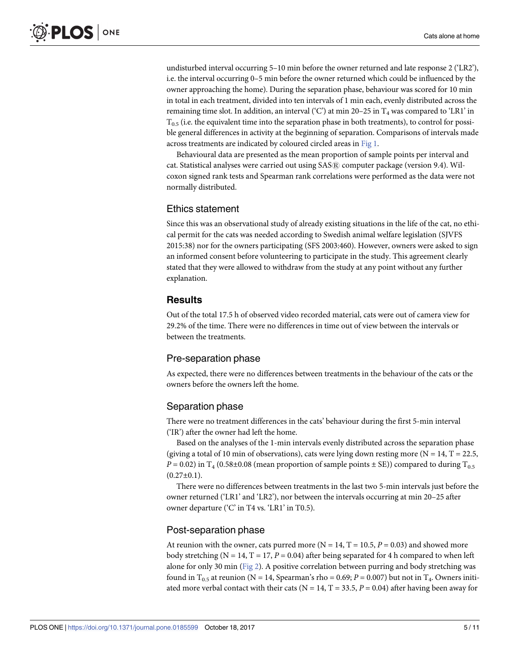<span id="page-4-0"></span>undisturbed interval occurring 5–10 min before the owner returned and late response 2 ('LR2'), i.e. the interval occurring 0–5 min before the owner returned which could be influenced by the owner approaching the home). During the separation phase, behaviour was scored for 10 min in total in each treatment, divided into ten intervals of 1 min each, evenly distributed across the remaining time slot. In addition, an interval ( $°C$ ) at min 20–25 in  $T_4$  was compared to 'LR1' in  $T_{0.5}$  (i.e. the equivalent time into the separation phase in both treatments), to control for possible general differences in activity at the beginning of separation. Comparisons of intervals made across treatments are indicated by coloured circled areas in [Fig](#page-3-0) 1.

Behavioural data are presented as the mean proportion of sample points per interval and cat. Statistical analyses were carried out using SAS® computer package (version 9.4). Wilcoxon signed rank tests and Spearman rank correlations were performed as the data were not normally distributed.

#### Ethics statement

Since this was an observational study of already existing situations in the life of the cat, no ethical permit for the cats was needed according to Swedish animal welfare legislation (SJVFS 2015:38) nor for the owners participating (SFS 2003:460). However, owners were asked to sign an informed consent before volunteering to participate in the study. This agreement clearly stated that they were allowed to withdraw from the study at any point without any further explanation.

# **Results**

Out of the total 17.5 h of observed video recorded material, cats were out of camera view for 29.2% of the time. There were no differences in time out of view between the intervals or between the treatments.

#### Pre-separation phase

As expected, there were no differences between treatments in the behaviour of the cats or the owners before the owners left the home.

#### Separation phase

There were no treatment differences in the cats' behaviour during the first 5-min interval ('IR') after the owner had left the home.

Based on the analyses of the 1-min intervals evenly distributed across the separation phase (giving a total of 10 min of observations), cats were lying down resting more ( $N = 14$ ,  $T = 22.5$ ,  $P = 0.02$ ) in T<sub>4</sub> (0.58±0.08 (mean proportion of sample points  $\pm$  SE)) compared to during T<sub>0.5</sub>  $(0.27 \pm 0.1)$ .

There were no differences between treatments in the last two 5-min intervals just before the owner returned ('LR1' and 'LR2'), nor between the intervals occurring at min 20–25 after owner departure ('C' in T4 vs. 'LR1' in T0.5).

#### Post-separation phase

At reunion with the owner, cats purred more ( $N = 14$ ,  $T = 10.5$ ,  $P = 0.03$ ) and showed more body stretching ( $N = 14$ ,  $T = 17$ ,  $P = 0.04$ ) after being separated for 4 h compared to when left alone for only 30 min [\(Fig](#page-5-0) 2). A positive correlation between purring and body stretching was found in T<sub>0.5</sub> at reunion (N = 14, Spearman's rho = 0.69;  $P = 0.007$ ) but not in T<sub>4</sub>. Owners initiated more verbal contact with their cats ( $N = 14$ ,  $T = 33.5$ ,  $P = 0.04$ ) after having been away for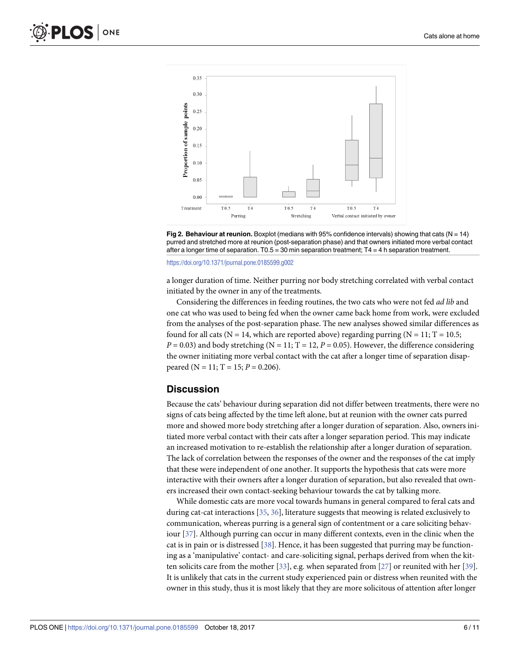<span id="page-5-0"></span>



<https://doi.org/10.1371/journal.pone.0185599.g002>

a longer duration of time. Neither purring nor body stretching correlated with verbal contact initiated by the owner in any of the treatments.

Considering the differences in feeding routines, the two cats who were not fed *ad lib* and one cat who was used to being fed when the owner came back home from work, were excluded from the analyses of the post-separation phase. The new analyses showed similar differences as found for all cats (N = 14, which are reported above) regarding purring (N = 11; T = 10.5;  $P = 0.03$  and body stretching (N = 11; T = 12,  $P = 0.05$ ). However, the difference considering the owner initiating more verbal contact with the cat after a longer time of separation disappeared (N = 11; T = 15;  $P = 0.206$ ).

### **Discussion**

Because the cats' behaviour during separation did not differ between treatments, there were no signs of cats being affected by the time left alone, but at reunion with the owner cats purred more and showed more body stretching after a longer duration of separation. Also, owners initiated more verbal contact with their cats after a longer separation period. This may indicate an increased motivation to re-establish the relationship after a longer duration of separation. The lack of correlation between the responses of the owner and the responses of the cat imply that these were independent of one another. It supports the hypothesis that cats were more interactive with their owners after a longer duration of separation, but also revealed that owners increased their own contact-seeking behaviour towards the cat by talking more.

While domestic cats are more vocal towards humans in general compared to feral cats and during cat-cat interactions [\[35,](#page-9-0) [36\]](#page-9-0), literature suggests that meowing is related exclusively to communication, whereas purring is a general sign of contentment or a care soliciting behaviour [\[37\]](#page-9-0). Although purring can occur in many different contexts, even in the clinic when the cat is in pain or is distressed [[38](#page-9-0)]. Hence, it has been suggested that purring may be functioning as a 'manipulative' contact- and care-soliciting signal, perhaps derived from when the kitten solicits care from the mother [\[33](#page-9-0)], e.g. when separated from [[27\]](#page-9-0) or reunited with her [[39](#page-9-0)]. It is unlikely that cats in the current study experienced pain or distress when reunited with the owner in this study, thus it is most likely that they are more solicitous of attention after longer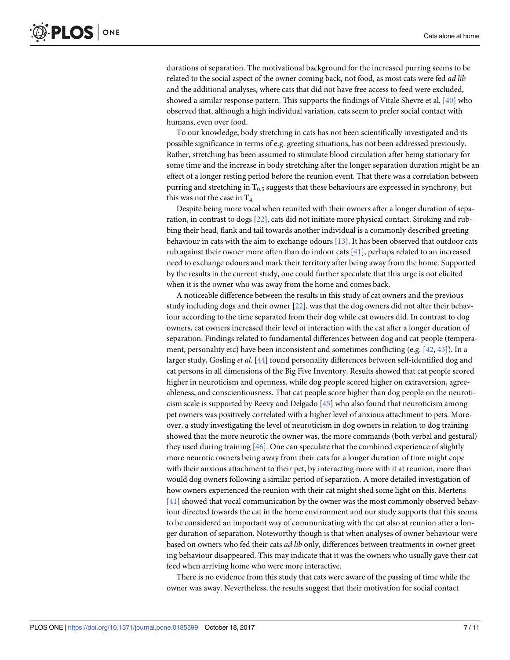<span id="page-6-0"></span>durations of separation. The motivational background for the increased purring seems to be related to the social aspect of the owner coming back, not food, as most cats were fed *ad lib* and the additional analyses, where cats that did not have free access to feed were excluded, showed a similar response pattern. This supports the findings of Vitale Shevre et al. [[40](#page-9-0)] who observed that, although a high individual variation, cats seem to prefer social contact with humans, even over food.

To our knowledge, body stretching in cats has not been scientifically investigated and its possible significance in terms of e.g. greeting situations, has not been addressed previously. Rather, stretching has been assumed to stimulate blood circulation after being stationary for some time and the increase in body stretching after the longer separation duration might be an effect of a longer resting period before the reunion event. That there was a correlation between purring and stretching in  $T_{0.5}$  suggests that these behaviours are expressed in synchrony, but this was not the case in  $T_4$ .

Despite being more vocal when reunited with their owners after a longer duration of separation, in contrast to dogs [\[22\]](#page-9-0), cats did not initiate more physical contact. Stroking and rubbing their head, flank and tail towards another individual is a commonly described greeting behaviour in cats with the aim to exchange odours [\[13\]](#page-8-0). It has been observed that outdoor cats rub against their owner more often than do indoor cats [[41](#page-9-0)], perhaps related to an increased need to exchange odours and mark their territory after being away from the home. Supported by the results in the current study, one could further speculate that this urge is not elicited when it is the owner who was away from the home and comes back.

A noticeable difference between the results in this study of cat owners and the previous study including dogs and their owner [\[22\]](#page-9-0), was that the dog owners did not alter their behaviour according to the time separated from their dog while cat owners did. In contrast to dog owners, cat owners increased their level of interaction with the cat after a longer duration of separation. Findings related to fundamental differences between dog and cat people (temperament, personality etc) have been inconsistent and sometimes conflicting (e.g. [\[42,](#page-9-0) [43\]](#page-9-0)). In a larger study, Gosling *et al*. [\[44](#page-9-0)] found personality differences between self-identified dog and cat persons in all dimensions of the Big Five Inventory. Results showed that cat people scored higher in neuroticism and openness, while dog people scored higher on extraversion, agreeableness, and conscientiousness. That cat people score higher than dog people on the neuroticism scale is supported by Reevy and Delgado [\[45\]](#page-9-0) who also found that neuroticism among pet owners was positively correlated with a higher level of anxious attachment to pets. Moreover, a study investigating the level of neuroticism in dog owners in relation to dog training showed that the more neurotic the owner was, the more commands (both verbal and gestural) they used during training [[46](#page-10-0)]. One can speculate that the combined experience of slightly more neurotic owners being away from their cats for a longer duration of time might cope with their anxious attachment to their pet, by interacting more with it at reunion, more than would dog owners following a similar period of separation. A more detailed investigation of how owners experienced the reunion with their cat might shed some light on this. Mertens [\[41\]](#page-9-0) showed that vocal communication by the owner was the most commonly observed behaviour directed towards the cat in the home environment and our study supports that this seems to be considered an important way of communicating with the cat also at reunion after a longer duration of separation. Noteworthy though is that when analyses of owner behaviour were based on owners who fed their cats *ad lib* only, differences between treatments in owner greeting behaviour disappeared. This may indicate that it was the owners who usually gave their cat feed when arriving home who were more interactive.

There is no evidence from this study that cats were aware of the passing of time while the owner was away. Nevertheless, the results suggest that their motivation for social contact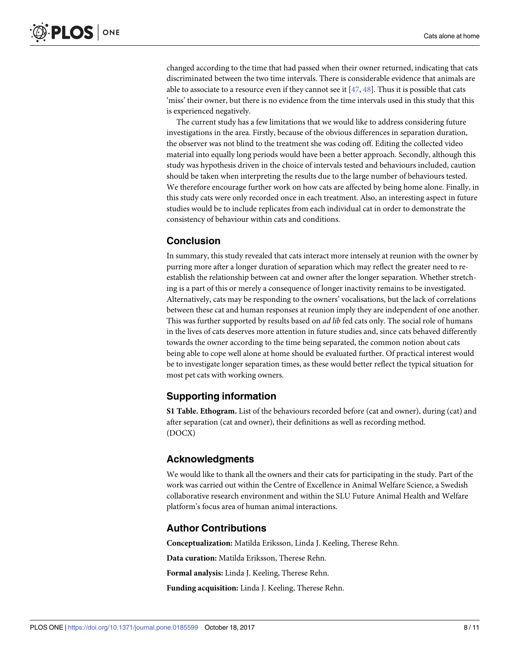<span id="page-7-0"></span>changed according to the time that had passed when their owner returned, indicating that cats discriminated between the two time intervals. There is considerable evidence that animals are able to associate to a resource even if they cannot see it  $[47, 48]$  $[47, 48]$  $[47, 48]$  $[47, 48]$  $[47, 48]$ . Thus it is possible that cats 'miss' their owner, but there is no evidence from the time intervals used in this study that this is experienced negatively.

The current study has a few limitations that we would like to address considering future investigations in the area. Firstly, because of the obvious differences in separation duration, the observer was not blind to the treatment she was coding off. Editing the collected video material into equally long periods would have been a better approach. Secondly, although this study was hypothesis driven in the choice of intervals tested and behaviours included, caution should be taken when interpreting the results due to the large number of behaviours tested. We therefore encourage further work on how cats are affected by being home alone. Finally, in this study cats were only recorded once in each treatment. Also, an interesting aspect in future studies would be to include replicates from each individual cat in order to demonstrate the consistency of behaviour within cats and conditions.

# **Conclusion**

In summary, this study revealed that cats interact more intensely at reunion with the owner by purring more after a longer duration of separation which may reflect the greater need to reestablish the relationship between cat and owner after the longer separation. Whether stretching is a part of this or merely a consequence of longer inactivity remains to be investigated. Alternatively, cats may be responding to the owners' vocalisations, but the lack of correlations between these cat and human responses at reunion imply they are independent of one another. This was further supported by results based on *ad lib* fed cats only. The social role of humans in the lives of cats deserves more attention in future studies and, since cats behaved differently towards the owner according to the time being separated, the common notion about cats being able to cope well alone at home should be evaluated further. Of practical interest would be to investigate longer separation times, as these would better reflect the typical situation for most pet cats with working owners.

# **Supporting information**

**S1 [Table.](http://www.plosone.org/article/fetchSingleRepresentation.action?uri=info:doi/10.1371/journal.pone.0185599.s001) Ethogram.** List of the behaviours recorded before (cat and owner), during (cat) and after separation (cat and owner), their definitions as well as recording method. (DOCX)

# **Acknowledgments**

We would like to thank all the owners and their cats for participating in the study. Part of the work was carried out within the Centre of Excellence in Animal Welfare Science, a Swedish collaborative research environment and within the SLU Future Animal Health and Welfare platform's focus area of human animal interactions.

# **Author Contributions**

**Conceptualization:** Matilda Eriksson, Linda J. Keeling, Therese Rehn.

**Data curation:** Matilda Eriksson, Therese Rehn.

**Formal analysis:** Linda J. Keeling, Therese Rehn.

**Funding acquisition:** Linda J. Keeling, Therese Rehn.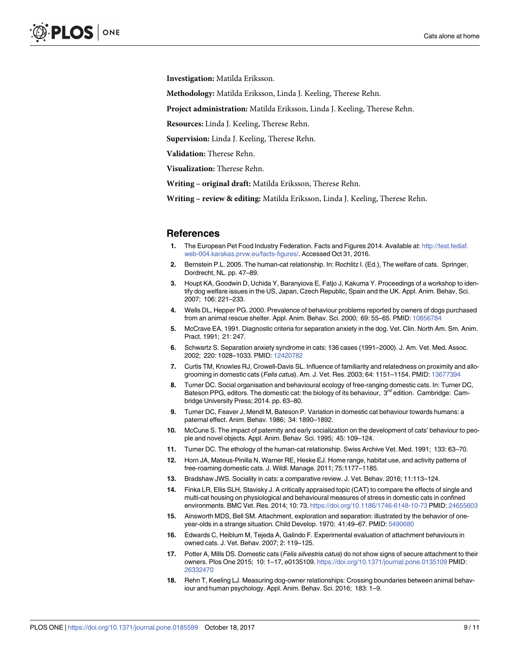<span id="page-8-0"></span>**Investigation:** Matilda Eriksson.

**Methodology:** Matilda Eriksson, Linda J. Keeling, Therese Rehn.

**Project administration:** Matilda Eriksson, Linda J. Keeling, Therese Rehn.

**Resources:** Linda J. Keeling, Therese Rehn.

**Supervision:** Linda J. Keeling, Therese Rehn.

**Validation:** Therese Rehn.

**Visualization:** Therese Rehn.

**Writing – original draft:** Matilda Eriksson, Therese Rehn.

**Writing – review & editing:** Matilda Eriksson, Linda J. Keeling, Therese Rehn.

#### **References**

- **[1](#page-1-0).** The European Pet Food Industry Federation. Facts and Figures 2014. Available at: [http://test.fediaf.](http://test.fediaf.web-004.karakas.prvw.eu/facts-figures/) [web-004.karakas.prvw.eu/facts-figures/](http://test.fediaf.web-004.karakas.prvw.eu/facts-figures/). Accessed Oct 31, 2016.
- **[2](#page-1-0).** Bernstein P.L. 2005. The human-cat relationship. In: Rochlitz I. (Ed.), The welfare of cats. Springer, Dordrecht, NL. pp. 47–89.
- **[3](#page-1-0).** Houpt KA, Goodwin D, Uchida Y, Baranyiova E, Fatjo J, Kakuma Y. Proceedings of a workshop to identify dog welfare issues in the US, Japan, Czech Republic, Spain and the UK. Appl. Anim. Behav, Sci. 2007; 106: 221–233.
- **[4](#page-1-0).** Wells DL, Hepper PG. 2000. Prevalence of behaviour problems reported by owners of dogs purchased from an animal rescue shelter. Appl. Anim. Behav. Sci. 2000; 69: 55–65. PMID: [10856784](http://www.ncbi.nlm.nih.gov/pubmed/10856784)
- **[5](#page-1-0).** McCrave EA, 1991. Diagnostic criteria for separation anxiety in the dog. Vet. Clin. North Am. Sm. Anim. Pract. 1991; 21: 247.
- **[6](#page-1-0).** Schwartz S. Separation anxiety syndrome in cats: 136 cases (1991–2000). J. Am. Vet. Med. Assoc. 2002; 220: 1028–1033. PMID: [12420782](http://www.ncbi.nlm.nih.gov/pubmed/12420782)
- **[7](#page-1-0).** Curtis TM, Knowles RJ, Crowell-Davis SL. Influence of familiarity and relatedness on proximity and allogrooming in domestic cats (Felis catus). Am. J. Vet. Res. 2003; 64: 1151–1154. PMID: [13677394](http://www.ncbi.nlm.nih.gov/pubmed/13677394)
- **[8](#page-1-0).** Turner DC. Social organisation and behavioural ecology of free-ranging domestic cats. In: Turner DC, Bateson PPG, editors. The domestic cat: the biology of its behaviour, 3<sup>rd</sup> edition. Cambridge: Cambridge University Press; 2014. pp. 63–80.
- **[9](#page-1-0).** Turner DC, Feaver J, Mendl M, Bateson P. Variation in domestic cat behaviour towards humans: a paternal effect. Anim. Behav. 1986; 34: 1890–1892.
- **[10](#page-1-0).** McCune S. The impact of paternity and early socialization on the development of cats' behaviour to people and novel objects. Appl. Anim. Behav. Sci. 1995; 45: 109–124.
- **[11](#page-1-0).** Turner DC. The ethology of the human-cat relationship. Swiss Archive Vet. Med. 1991; 133: 63–70.
- **[12](#page-1-0).** Horn JA, Mateus-Pinilla N, Warner RE, Heske EJ. Home range, habitat use, and activity patterns of free-roaming domestic cats. J. Wildl. Manage. 2011; 75:1177–1185.
- **[13](#page-1-0).** Bradshaw JWS. Sociality in cats: a comparative review. J. Vet. Behav. 2016; 11:113–124.
- **[14](#page-1-0).** Finka LR, Ellis SLH, Stavisky J. A critically appraised topic (CAT) to compare the effects of single and multi-cat housing on physiological and behavioural measures of stress in domestic cats in confined environments. BMC Vet. Res. 2014; 10: 73. <https://doi.org/10.1186/1746-6148-10-73> PMID: [24655603](http://www.ncbi.nlm.nih.gov/pubmed/24655603)
- **[15](#page-1-0).** Ainsworth MDS, Bell SM. Attachment, exploration and separation: illustrated by the behavior of oneyear-olds in a strange situation. Child Develop. 1970; 41:49–67. PMID: [5490680](http://www.ncbi.nlm.nih.gov/pubmed/5490680)
- **[16](#page-1-0).** Edwards C, Heiblum M, Tejeda A, Galindo F. Experimental evaluation of attachment behaviours in owned cats. J. Vet. Behav. 2007; 2: 119–125.
- **[17](#page-1-0).** Potter A, Mills DS. Domestic cats (Felis silvestris catus) do not show signs of secure attachment to their owners. Plos One 2015; 10: 1–17, e0135109. <https://doi.org/10.1371/journal.pone.0135109> PMID: [26332470](http://www.ncbi.nlm.nih.gov/pubmed/26332470)
- **[18](#page-1-0).** Rehn T, Keeling LJ. Measuring dog-owner relationships: Crossing boundaries between animal behaviour and human psychology. Appl. Anim. Behav. Sci. 2016; 183: 1–9.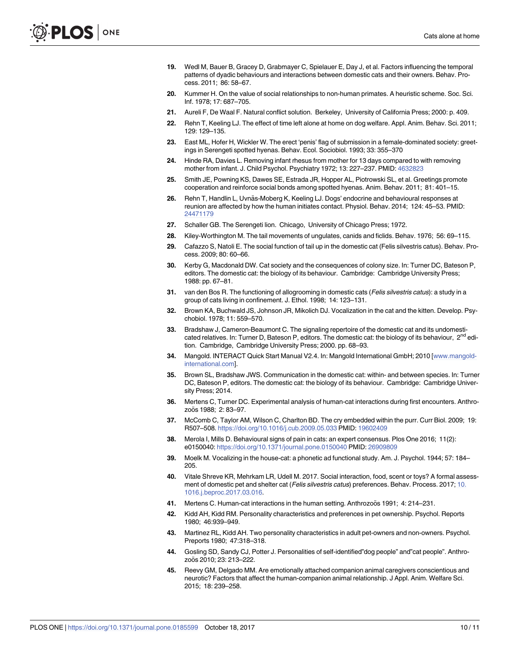- <span id="page-9-0"></span>**[19](#page-1-0).** Wedl M, Bauer B, Gracey D, Grabmayer C, Spielauer E, Day J, et al. Factors influencing the temporal patterns of dyadic behaviours and interactions between domestic cats and their owners. Behav. Process. 2011; 86: 58–67.
- **[20](#page-1-0).** Kummer H. On the value of social relationships to non-human primates. A heuristic scheme. Soc. Sci. Inf. 1978; 17: 687–705.
- **[21](#page-1-0).** Aureli F, De Waal F. Natural conflict solution. Berkeley, University of California Press; 2000: p. 409.
- **[22](#page-2-0).** Rehn T, Keeling LJ. The effect of time left alone at home on dog welfare. Appl. Anim. Behav. Sci. 2011; 129: 129–135.
- **[23](#page-2-0).** East ML, Hofer H, Wickler W. The erect 'penis' flag of submission in a female-dominated society: greetings in Serengeti spotted hyenas. Behav. Ecol. Sociobiol. 1993; 33: 355–370
- **[24](#page-2-0).** Hinde RA, Davies L. Removing infant rhesus from mother for 13 days compared to with removing mother from infant. J. Child Psychol. Psychiatry 1972; 13: 227–237. PMID: [4632823](http://www.ncbi.nlm.nih.gov/pubmed/4632823)
- **[25](#page-2-0).** Smith JE, Powning KS, Dawes SE, Estrada JR, Hopper AL, Piotrowski SL, et al. Greetings promote cooperation and reinforce social bonds among spotted hyenas. Anim. Behav. 2011; 81: 401–15.
- **[26](#page-2-0).** Rehn T, Handlin L, Uvnäs-Moberg K, Keeling LJ. Dogs' endocrine and behavioural responses at reunion are affected by how the human initiates contact. Physiol. Behav. 2014; 124: 45–53. PMID: [24471179](http://www.ncbi.nlm.nih.gov/pubmed/24471179)
- **[27](#page-2-0).** Schaller GB. The Serengeti lion. Chicago, University of Chicago Press; 1972.
- **[28](#page-2-0).** Kiley-Worthington M. The tail movements of ungulates, canids and ficlids. Behav. 1976; 56: 69–115.
- **[29](#page-2-0).** Cafazzo S, Natoli E. The social function of tail up in the domestic cat (Felis silvestris catus). Behav. Process. 2009; 80: 60–66.
- **[30](#page-2-0).** Kerby G, Macdonald DW. Cat society and the consequences of colony size. In: Turner DC, Bateson P, editors. The domestic cat: the biology of its behaviour. Cambridge: Cambridge University Press; 1988: pp. 67–81.
- **[31](#page-2-0).** van den Bos R. The functioning of allogrooming in domestic cats (Felis silvestris catus): a study in a group of cats living in confinement. J. Ethol. 1998; 14: 123–131.
- **[32](#page-2-0).** Brown KA, Buchwald JS, Johnson JR, Mikolich DJ. Vocalization in the cat and the kitten. Develop. Psychobiol. 1978; 11: 559–570.
- **[33](#page-2-0).** Bradshaw J, Cameron-Beaumont C. The signaling repertoire of the domestic cat and its undomesticated relatives. In: Turner D, Bateson P, editors. The domestic cat: the biology of its behaviour,  $2^{nd}$  edition. Cambridge, Cambridge University Press; 2000. pp. 68–93.
- **[34](#page-3-0).** Mangold. INTERACT Quick Start Manual V2.4. In: Mangold International GmbH; 2010 [\[www.mangold](http://www.mangold-international.com)[international.com](http://www.mangold-international.com)].
- **[35](#page-5-0).** Brown SL, Bradshaw JWS. Communication in the domestic cat: within- and between species. In: Turner DC, Bateson P, editors. The domestic cat: the biology of its behaviour. Cambridge: Cambridge University Press; 2014.
- **[36](#page-5-0).** Mertens C, Turner DC. Experimental analysis of human-cat interactions during first encounters. Anthrozoös 1988; 2: 83-97.
- **[37](#page-5-0).** McComb C, Taylor AM, Wilson C, Charlton BD. The cry embedded within the purr. Curr Biol. 2009; 19: R507–508. <https://doi.org/10.1016/j.cub.2009.05.033> PMID: [19602409](http://www.ncbi.nlm.nih.gov/pubmed/19602409)
- **[38](#page-5-0).** Merola I, Mills D. Behavioural signs of pain in cats: an expert consensus. Plos One 2016; 11(2): e0150040: <https://doi.org/10.1371/journal.pone.0150040> PMID: [26909809](http://www.ncbi.nlm.nih.gov/pubmed/26909809)
- **[39](#page-5-0).** Moelk M. Vocalizing in the house-cat: a phonetic ad functional study. Am. J. Psychol. 1944; 57: 184– 205.
- **[40](#page-6-0).** Vitale Shreve KR, Mehrkam LR, Udell M. 2017. Social interaction, food, scent or toys? A formal assessment of domestic pet and shelter cat (*Felis silvestris catus*) preferences. Behav. Process. 2017; [10.](https://doi.org/10.1016.j.beproc.2017.03.016) [1016.j.beproc.2017.03.016.](https://doi.org/10.1016.j.beproc.2017.03.016)
- **[41](#page-6-0).** Mertens C. Human-cat interactions in the human setting. Anthrozoös 1991; 4: 214–231.
- **[42](#page-6-0).** Kidd AH, Kidd RM. Personality characteristics and preferences in pet ownership. Psychol. Reports 1980; 46:939–949.
- **[43](#page-6-0).** Martinez RL, Kidd AH. Two personality characteristics in adult pet-owners and non-owners. Psychol. Preports 1980; 47:318–318.
- **[44](#page-6-0).** Gosling SD, Sandy CJ, Potter J. Personalities of self-identified"dog people" and"cat people". Anthrozoös 2010; 23: 213-222.
- **[45](#page-6-0).** Reevy GM, Delgado MM. Are emotionally attached companion animal caregivers conscientious and neurotic? Factors that affect the human-companion animal relationship. J Appl. Anim. Welfare Sci. 2015; 18: 239–258.